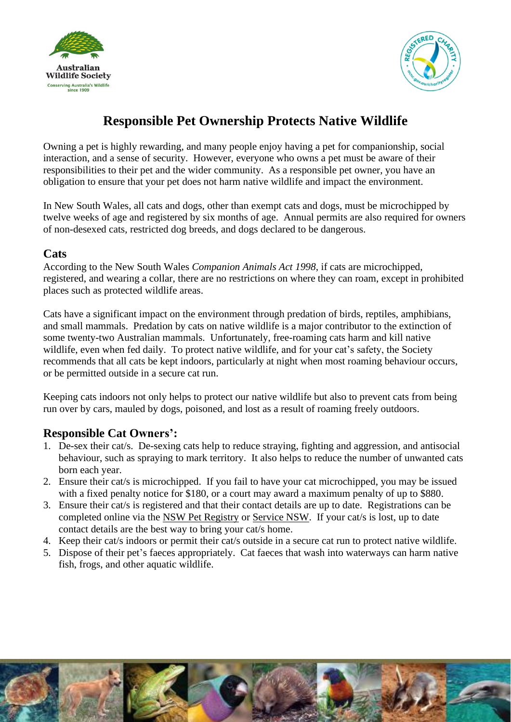



# **Responsible Pet Ownership Protects Native Wildlife**

Owning a pet is highly rewarding, and many people enjoy having a pet for companionship, social interaction, and a sense of security. However, everyone who owns a pet must be aware of their responsibilities to their pet and the wider community. As a responsible pet owner, you have an obligation to ensure that your pet does not harm native wildlife and impact the environment.

In New South Wales, all cats and dogs, other than exempt cats and dogs, must be microchipped by twelve weeks of age and registered by six months of age. Annual permits are also required for owners of non-desexed cats, restricted dog breeds, and dogs declared to be dangerous.

#### **Cats**

According to the New South Wales *Companion Animals Act 1998*, if cats are microchipped, registered, and wearing a collar, there are no restrictions on where they can roam, except in prohibited places such as protected wildlife areas.

Cats have a significant impact on the environment through predation of birds, reptiles, amphibians, and small mammals. Predation by cats on native wildlife is a major contributor to the extinction of some twenty-two Australian mammals. Unfortunately, free-roaming cats harm and kill native wildlife, even when fed daily. To protect native wildlife, and for your cat's safety, the Society recommends that all cats be kept indoors, particularly at night when most roaming behaviour occurs, or be permitted outside in a secure cat run.

Keeping cats indoors not only helps to protect our native wildlife but also to prevent cats from being run over by cars, mauled by dogs, poisoned, and lost as a result of roaming freely outdoors.

#### **Responsible Cat Owners':**

- 1. De-sex their cat/s. De-sexing cats help to reduce straying, fighting and aggression, and antisocial behaviour, such as spraying to mark territory. It also helps to reduce the number of unwanted cats born each year.
- 2. Ensure their cat/s is microchipped. If you fail to have your cat microchipped, you may be issued with a fixed penalty notice for \$180, or a court may award a maximum penalty of up to \$880.
- 3. Ensure their cat/s is registered and that their contact details are up to date. Registrations can be completed online via the NSW [Pet Registry](https://www.petregistry.nsw.gov.au/#/) or [Service NSW.](https://www.service.nsw.gov.au/transaction/register-or-update-ownership-your-dog-or-cat) If your cat/s is lost, up to date contact details are the best way to bring your cat/s home.
- 4. Keep their cat/s indoors or permit their cat/s outside in a secure cat run to protect native wildlife.
- 5. Dispose of their pet's faeces appropriately. Cat faeces that wash into waterways can harm native fish, frogs, and other aquatic wildlife.